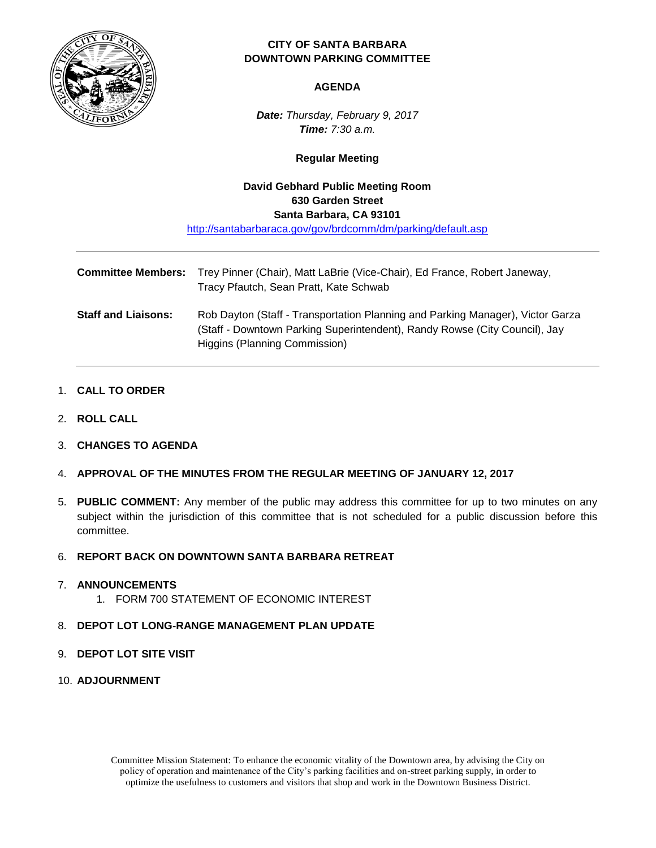

# **CITY OF SANTA BARBARA DOWNTOWN PARKING COMMITTEE**

#### **AGENDA**

*Date: Thursday, February 9, 2017 Time: 7:30 a.m.*

## **Regular Meeting**

# **David Gebhard Public Meeting Room 630 Garden Street Santa Barbara, CA 93101** <http://santabarbaraca.gov/gov/brdcomm/dm/parking/default.asp>

| <b>Committee Members:</b>  | Trey Pinner (Chair), Matt LaBrie (Vice-Chair), Ed France, Robert Janeway,<br>Tracy Pfautch, Sean Pratt, Kate Schwab                                                                           |
|----------------------------|-----------------------------------------------------------------------------------------------------------------------------------------------------------------------------------------------|
| <b>Staff and Liaisons:</b> | Rob Dayton (Staff - Transportation Planning and Parking Manager), Victor Garza<br>(Staff - Downtown Parking Superintendent), Randy Rowse (City Council), Jay<br>Higgins (Planning Commission) |

#### 1. **CALL TO ORDER**

- 2. **ROLL CALL**
- 3. **CHANGES TO AGENDA**
- 4. **APPROVAL OF THE MINUTES FROM THE REGULAR MEETING OF JANUARY 12, 2017**
- 5. **PUBLIC COMMENT:** Any member of the public may address this committee for up to two minutes on any subject within the jurisdiction of this committee that is not scheduled for a public discussion before this committee.

#### 6. **REPORT BACK ON DOWNTOWN SANTA BARBARA RETREAT**

#### 7. **ANNOUNCEMENTS**

1. FORM 700 STATEMENT OF ECONOMIC INTEREST

## 8. **DEPOT LOT LONG-RANGE MANAGEMENT PLAN UPDATE**

- 9. **DEPOT LOT SITE VISIT**
- 10. **ADJOURNMENT**

Committee Mission Statement: To enhance the economic vitality of the Downtown area, by advising the City on policy of operation and maintenance of the City's parking facilities and on-street parking supply, in order to optimize the usefulness to customers and visitors that shop and work in the Downtown Business District.